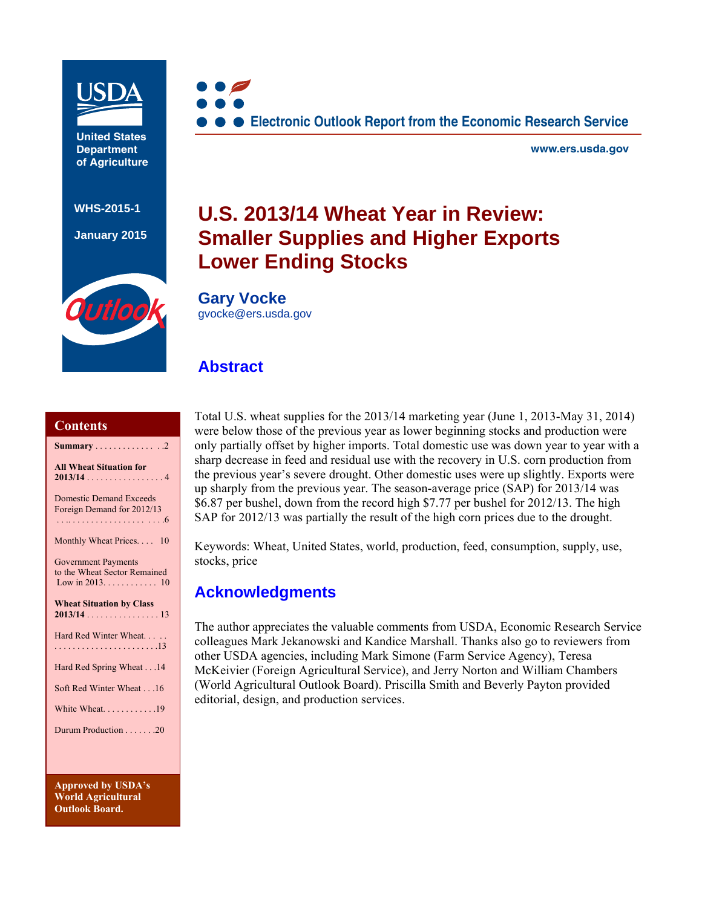

**United States Department of Agriculture**

**WHS-2015-1** 

**January 2015**

Outloo



**www.ers.usda.gov**

# **U.S. 2013/14 Wheat Year in Review: Smaller Supplies and Higher Exports Lower Ending Stocks**

**Gary Vocke**  gvocke@ers.usda.gov

# **Abstract**

#### **Contents**

| <b>Summary</b> 2                                                                           |
|--------------------------------------------------------------------------------------------|
| <b>All Wheat Situation for</b><br>$2013/14$ 4                                              |
| <b>Domestic Demand Exceeds</b><br>Foreign Demand for 2012/13                               |
| Monthly Wheat Prices<br>10                                                                 |
| <b>Government Payments</b><br>to the Wheat Sector Remained<br>Low in 2013. $\dots$ .<br>10 |
| <b>Wheat Situation by Class</b>                                                            |
| Hard Red Winter Wheat                                                                      |
| Hard Red Spring Wheat 14                                                                   |
| Soft Red Winter Wheat 16                                                                   |
| White Wheat. 19                                                                            |
| Durum Production 20                                                                        |
|                                                                                            |

**Approved by USDA's World Agricultural Outlook Board.** 

Total U.S. wheat supplies for the 2013/14 marketing year (June 1, 2013-May 31, 2014) were below those of the previous year as lower beginning stocks and production were only partially offset by higher imports. Total domestic use was down year to year with a sharp decrease in feed and residual use with the recovery in U.S. corn production from the previous year's severe drought. Other domestic uses were up slightly. Exports were up sharply from the previous year. The season-average price (SAP) for 2013/14 was \$6.87 per bushel, down from the record high \$7.77 per bushel for 2012/13. The high SAP for 2012/13 was partially the result of the high corn prices due to the drought.

Keywords: Wheat, United States, world, production, feed, consumption, supply, use, stocks, price

# **Acknowledgments**

The author appreciates the valuable comments from USDA, Economic Research Service colleagues Mark Jekanowski and Kandice Marshall. Thanks also go to reviewers from other USDA agencies, including Mark Simone (Farm Service Agency), Teresa McKeivier (Foreign Agricultural Service), and Jerry Norton and William Chambers (World Agricultural Outlook Board). Priscilla Smith and Beverly Payton provided editorial, design, and production services.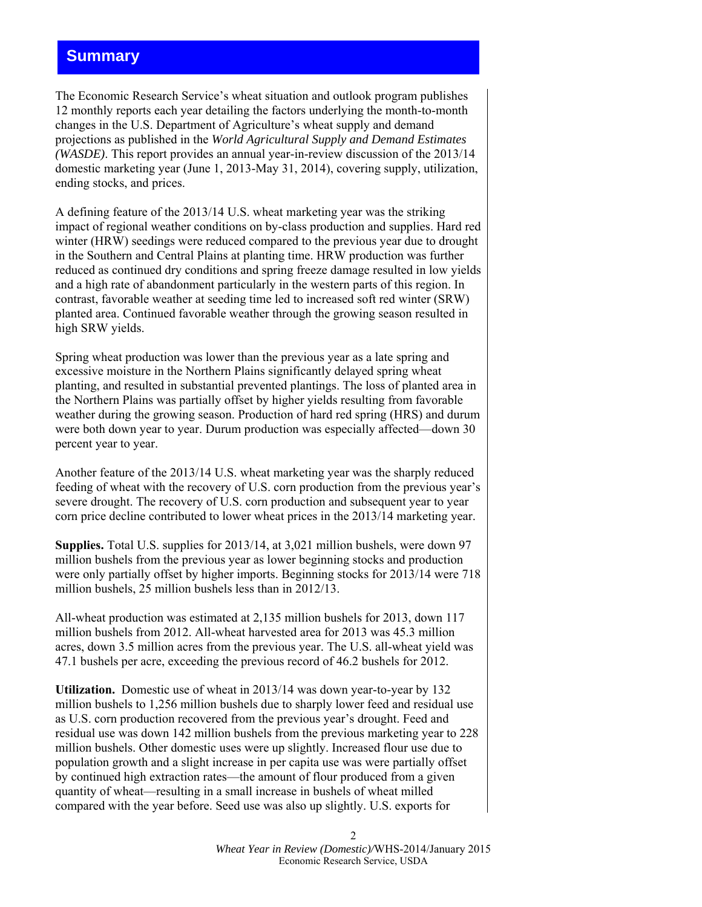# **Summary**

The Economic Research Service's wheat situation and outlook program publishes 12 monthly reports each year detailing the factors underlying the month-to-month changes in the U.S. Department of Agriculture's wheat supply and demand projections as published in the *World Agricultural Supply and Demand Estimates (WASDE)*. This report provides an annual year-in-review discussion of the 2013/14 domestic marketing year (June 1, 2013-May 31, 2014), covering supply, utilization, ending stocks, and prices.

A defining feature of the 2013/14 U.S. wheat marketing year was the striking impact of regional weather conditions on by-class production and supplies. Hard red winter (HRW) seedings were reduced compared to the previous year due to drought in the Southern and Central Plains at planting time. HRW production was further reduced as continued dry conditions and spring freeze damage resulted in low yields and a high rate of abandonment particularly in the western parts of this region. In contrast, favorable weather at seeding time led to increased soft red winter (SRW) planted area. Continued favorable weather through the growing season resulted in high SRW yields.

Spring wheat production was lower than the previous year as a late spring and excessive moisture in the Northern Plains significantly delayed spring wheat planting, and resulted in substantial prevented plantings. The loss of planted area in the Northern Plains was partially offset by higher yields resulting from favorable weather during the growing season. Production of hard red spring (HRS) and durum were both down year to year. Durum production was especially affected—down 30 percent year to year.

Another feature of the 2013/14 U.S. wheat marketing year was the sharply reduced feeding of wheat with the recovery of U.S. corn production from the previous year's severe drought. The recovery of U.S. corn production and subsequent year to year corn price decline contributed to lower wheat prices in the 2013/14 marketing year.

**Supplies.** Total U.S. supplies for 2013/14, at 3,021 million bushels, were down 97 million bushels from the previous year as lower beginning stocks and production were only partially offset by higher imports. Beginning stocks for 2013/14 were 718 million bushels, 25 million bushels less than in 2012/13.

All-wheat production was estimated at 2,135 million bushels for 2013, down 117 million bushels from 2012. All-wheat harvested area for 2013 was 45.3 million acres, down 3.5 million acres from the previous year. The U.S. all-wheat yield was 47.1 bushels per acre, exceeding the previous record of 46.2 bushels for 2012.

**Utilization.** Domestic use of wheat in 2013/14 was down year-to-year by 132 million bushels to 1,256 million bushels due to sharply lower feed and residual use as U.S. corn production recovered from the previous year's drought. Feed and residual use was down 142 million bushels from the previous marketing year to 228 million bushels. Other domestic uses were up slightly. Increased flour use due to population growth and a slight increase in per capita use was were partially offset by continued high extraction rates—the amount of flour produced from a given quantity of wheat—resulting in a small increase in bushels of wheat milled compared with the year before. Seed use was also up slightly. U.S. exports for

> *Wheat Year in Review (Domestic)/*WHS-2014/January 2015 Economic Research Service, USDA

2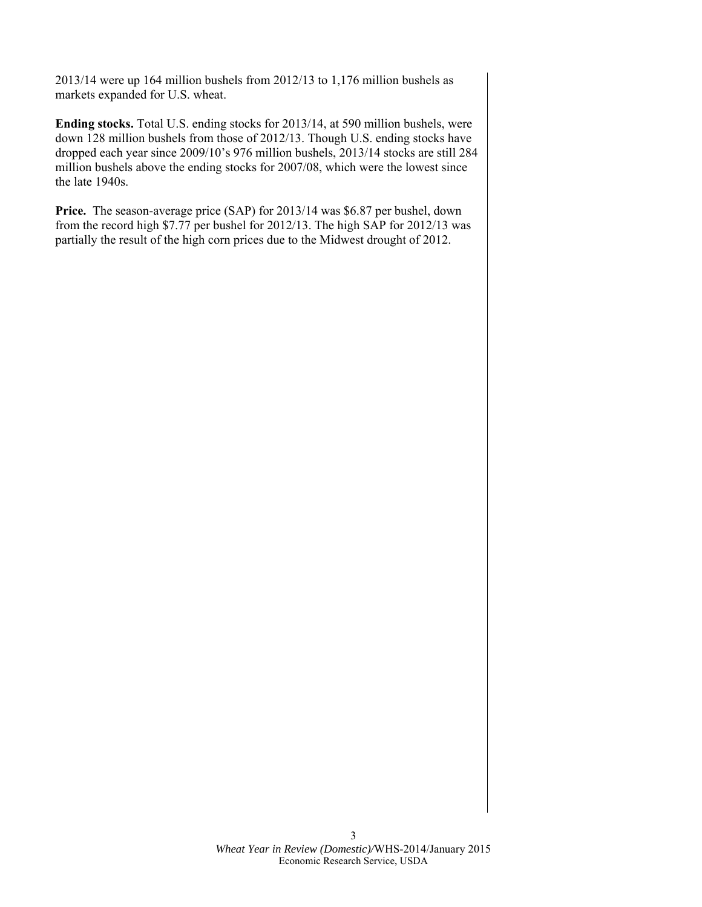2013/14 were up 164 million bushels from 2012/13 to 1,176 million bushels as markets expanded for U.S. wheat.

**Ending stocks.** Total U.S. ending stocks for 2013/14, at 590 million bushels, were down 128 million bushels from those of 2012/13. Though U.S. ending stocks have dropped each year since 2009/10's 976 million bushels, 2013/14 stocks are still 284 million bushels above the ending stocks for 2007/08, which were the lowest since the late 1940s.

**Price.** The season-average price (SAP) for 2013/14 was \$6.87 per bushel, down from the record high \$7.77 per bushel for 2012/13. The high SAP for 2012/13 was partially the result of the high corn prices due to the Midwest drought of 2012.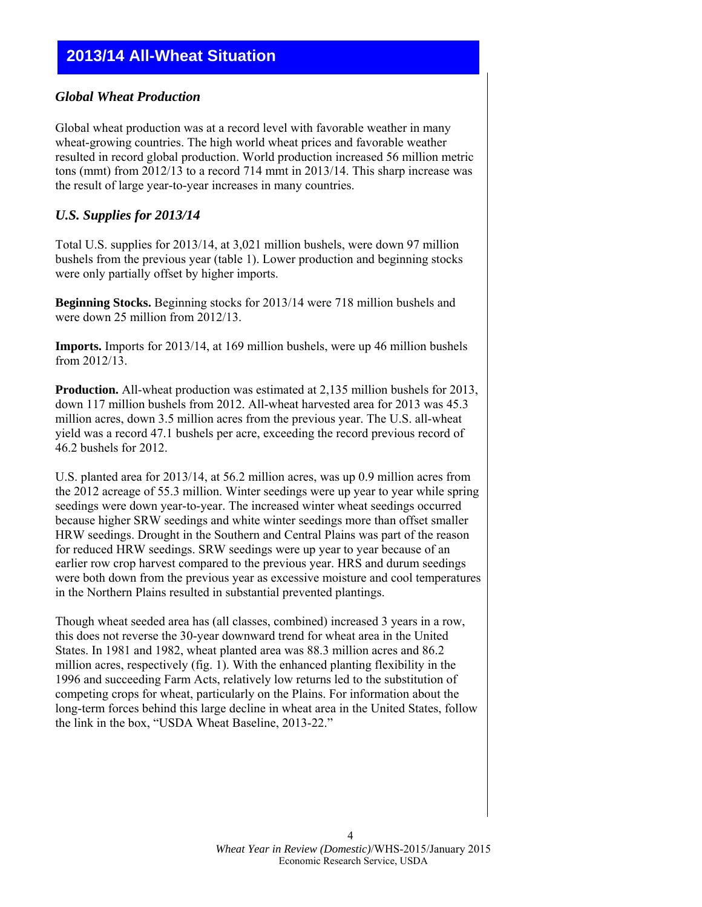# **2013/14 All-Wheat Situation**

#### *Global Wheat Production*

Global wheat production was at a record level with favorable weather in many wheat-growing countries. The high world wheat prices and favorable weather resulted in record global production. World production increased 56 million metric tons (mmt) from 2012/13 to a record 714 mmt in 2013/14. This sharp increase was the result of large year-to-year increases in many countries.

#### *U.S. Supplies for 2013/14*

Total U.S. supplies for 2013/14, at 3,021 million bushels, were down 97 million bushels from the previous year (table 1). Lower production and beginning stocks were only partially offset by higher imports.

**Beginning Stocks.** Beginning stocks for 2013/14 were 718 million bushels and were down 25 million from 2012/13.

**Imports.** Imports for 2013/14, at 169 million bushels, were up 46 million bushels from 2012/13.

**Production.** All-wheat production was estimated at 2,135 million bushels for 2013, down 117 million bushels from 2012. All-wheat harvested area for 2013 was 45.3 million acres, down 3.5 million acres from the previous year. The U.S. all-wheat yield was a record 47.1 bushels per acre, exceeding the record previous record of 46.2 bushels for 2012.

U.S. planted area for 2013/14, at 56.2 million acres, was up 0.9 million acres from the 2012 acreage of 55.3 million. Winter seedings were up year to year while spring seedings were down year-to-year. The increased winter wheat seedings occurred because higher SRW seedings and white winter seedings more than offset smaller HRW seedings. Drought in the Southern and Central Plains was part of the reason for reduced HRW seedings. SRW seedings were up year to year because of an earlier row crop harvest compared to the previous year. HRS and durum seedings were both down from the previous year as excessive moisture and cool temperatures in the Northern Plains resulted in substantial prevented plantings.

Though wheat seeded area has (all classes, combined) increased 3 years in a row, this does not reverse the 30-year downward trend for wheat area in the United States. In 1981 and 1982, wheat planted area was 88.3 million acres and 86.2 million acres, respectively (fig. 1). With the enhanced planting flexibility in the 1996 and succeeding Farm Acts, relatively low returns led to the substitution of competing crops for wheat, particularly on the Plains. For information about the long-term forces behind this large decline in wheat area in the United States, follow the link in the box, "USDA Wheat Baseline, 2013-22."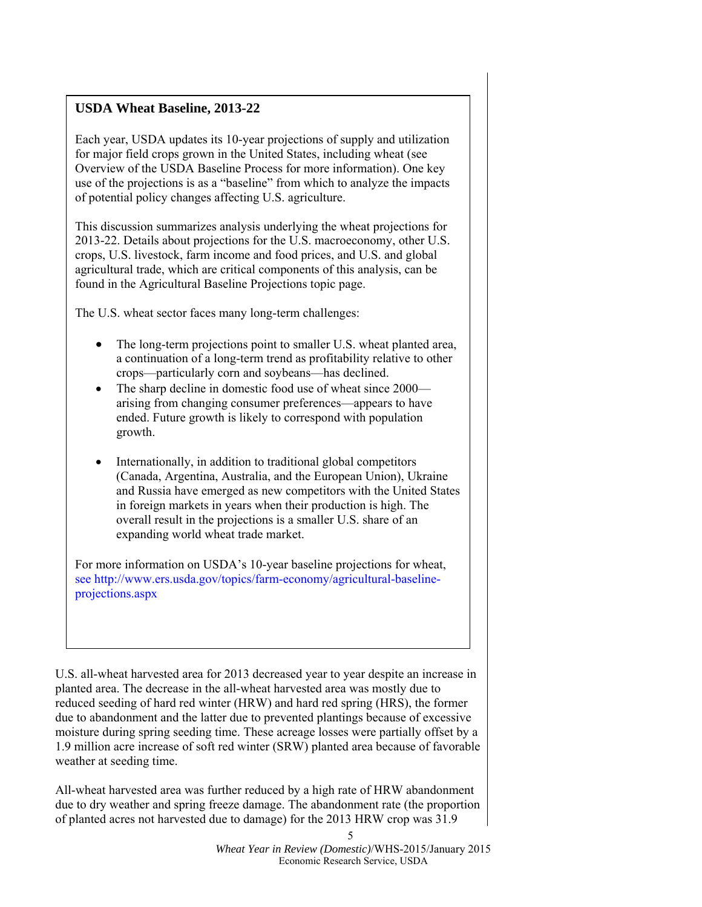# **USDA Wheat Baseline, 2013-22**

Each year, USDA updates its 10-year projections of supply and utilization for major field crops grown in the United States, including wheat (see Overview of the USDA Baseline Process for more information). One key use of the projections is as a "baseline" from which to analyze the impacts of potential policy changes affecting U.S. agriculture.

This discussion summarizes analysis underlying the wheat projections for 2013-22. Details about projections for the U.S. macroeconomy, other U.S. crops, U.S. livestock, farm income and food prices, and U.S. and global agricultural trade, which are critical components of this analysis, can be found in the Agricultural Baseline Projections topic page.

The U.S. wheat sector faces many long-term challenges:

- The long-term projections point to smaller U.S. wheat planted area, a continuation of a long-term trend as profitability relative to other crops—particularly corn and soybeans—has declined.
- The sharp decline in domestic food use of wheat since 2000 arising from changing consumer preferences—appears to have ended. Future growth is likely to correspond with population growth.
- Internationally, in addition to traditional global competitors (Canada, Argentina, Australia, and the European Union), Ukraine and Russia have emerged as new competitors with the United States in foreign markets in years when their production is high. The overall result in the projections is a smaller U.S. share of an expanding world wheat trade market.

For more information on USDA's 10-year baseline projections for wheat, see http://www.ers.usda.gov/topics/farm-economy/agricultural-baselineprojections.aspx

U.S. all-wheat harvested area for 2013 decreased year to year despite an increase in planted area. The decrease in the all-wheat harvested area was mostly due to reduced seeding of hard red winter (HRW) and hard red spring (HRS), the former due to abandonment and the latter due to prevented plantings because of excessive moisture during spring seeding time. These acreage losses were partially offset by a 1.9 million acre increase of soft red winter (SRW) planted area because of favorable weather at seeding time.

All-wheat harvested area was further reduced by a high rate of HRW abandonment due to dry weather and spring freeze damage. The abandonment rate (the proportion of planted acres not harvested due to damage) for the 2013 HRW crop was 31.9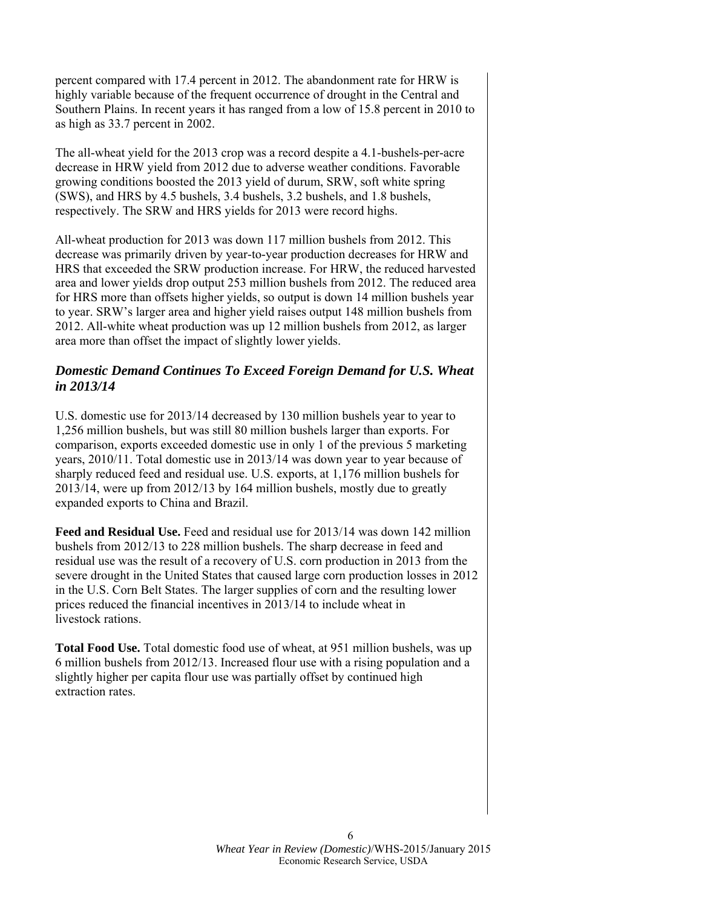percent compared with 17.4 percent in 2012. The abandonment rate for HRW is highly variable because of the frequent occurrence of drought in the Central and Southern Plains. In recent years it has ranged from a low of 15.8 percent in 2010 to as high as 33.7 percent in 2002.

The all-wheat yield for the 2013 crop was a record despite a 4.1-bushels-per-acre decrease in HRW yield from 2012 due to adverse weather conditions. Favorable growing conditions boosted the 2013 yield of durum, SRW, soft white spring (SWS), and HRS by 4.5 bushels, 3.4 bushels, 3.2 bushels, and 1.8 bushels, respectively. The SRW and HRS yields for 2013 were record highs.

All-wheat production for 2013 was down 117 million bushels from 2012. This decrease was primarily driven by year-to-year production decreases for HRW and HRS that exceeded the SRW production increase. For HRW, the reduced harvested area and lower yields drop output 253 million bushels from 2012. The reduced area for HRS more than offsets higher yields, so output is down 14 million bushels year to year. SRW's larger area and higher yield raises output 148 million bushels from 2012. All-white wheat production was up 12 million bushels from 2012, as larger area more than offset the impact of slightly lower yields.

# *Domestic Demand Continues To Exceed Foreign Demand for U.S. Wheat in 2013/14*

U.S. domestic use for 2013/14 decreased by 130 million bushels year to year to 1,256 million bushels, but was still 80 million bushels larger than exports. For comparison, exports exceeded domestic use in only 1 of the previous 5 marketing years, 2010/11. Total domestic use in 2013/14 was down year to year because of sharply reduced feed and residual use. U.S. exports, at 1,176 million bushels for 2013/14, were up from 2012/13 by 164 million bushels, mostly due to greatly expanded exports to China and Brazil.

**Feed and Residual Use.** Feed and residual use for 2013/14 was down 142 million bushels from 2012/13 to 228 million bushels. The sharp decrease in feed and residual use was the result of a recovery of U.S. corn production in 2013 from the severe drought in the United States that caused large corn production losses in 2012 in the U.S. Corn Belt States. The larger supplies of corn and the resulting lower prices reduced the financial incentives in 2013/14 to include wheat in livestock rations.

**Total Food Use.** Total domestic food use of wheat, at 951 million bushels, was up 6 million bushels from 2012/13. Increased flour use with a rising population and a slightly higher per capita flour use was partially offset by continued high extraction rates.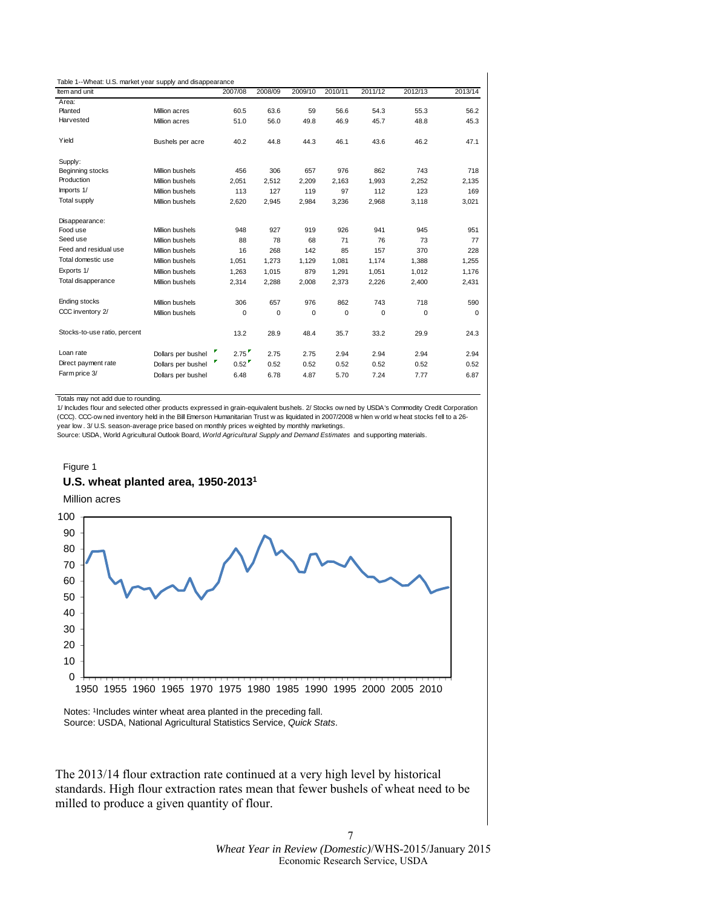| Table 1--Wheat: U.S. market year supply and disappearance |                    |         |         |         |         |         |         |          |
|-----------------------------------------------------------|--------------------|---------|---------|---------|---------|---------|---------|----------|
| Item and unit                                             |                    | 2007/08 | 2008/09 | 2009/10 | 2010/11 | 2011/12 | 2012/13 | 2013/14  |
| Area:                                                     |                    |         |         |         |         |         |         |          |
| Planted                                                   | Million acres      | 60.5    | 63.6    | 59      | 56.6    | 54.3    | 55.3    | 56.2     |
| Harvested                                                 | Million acres      | 51.0    | 56.0    | 49.8    | 46.9    | 45.7    | 48.8    | 45.3     |
| Yield                                                     | Bushels per acre   | 40.2    | 44.8    | 44.3    | 46.1    | 43.6    | 46.2    | 47.1     |
| Supply:                                                   |                    |         |         |         |         |         |         |          |
| Beginning stocks                                          | Million bushels    | 456     | 306     | 657     | 976     | 862     | 743     | 718      |
| Production                                                | Million bushels    | 2.051   | 2.512   | 2.209   | 2.163   | 1.993   | 2.252   | 2.135    |
| Imports 1/                                                | Million bushels    | 113     | 127     | 119     | 97      | 112     | 123     | 169      |
| <b>Total supply</b>                                       | Million bushels    | 2,620   | 2,945   | 2,984   | 3,236   | 2,968   | 3,118   | 3,021    |
| Disappearance:                                            |                    |         |         |         |         |         |         |          |
| Food use                                                  | Million bushels    | 948     | 927     | 919     | 926     | 941     | 945     | 951      |
| Seed use                                                  | Million bushels    | 88      | 78      | 68      | 71      | 76      | 73      | 77       |
| Feed and residual use                                     | Million bushels    | 16      | 268     | 142     | 85      | 157     | 370     | 228      |
| Total domestic use                                        | Million bushels    | 1.051   | 1.273   | 1,129   | 1.081   | 1.174   | 1.388   | 1,255    |
| Exports 1/                                                | Million bushels    | 1,263   | 1,015   | 879     | 1,291   | 1,051   | 1,012   | 1,176    |
| Total disapperance                                        | Million bushels    | 2,314   | 2.288   | 2.008   | 2.373   | 2.226   | 2.400   | 2,431    |
| <b>Ending stocks</b>                                      | Million bushels    | 306     | 657     | 976     | 862     | 743     | 718     | 590      |
| CCC inventory 2/                                          | Million bushels    | 0       | 0       | 0       | 0       | 0       | 0       | $\Omega$ |
| Stocks-to-use ratio, percent                              |                    | 13.2    | 28.9    | 48.4    | 35.7    | 33.2    | 29.9    | 24.3     |
| Loan rate                                                 | Dollars per bushel | 2.75    | 2.75    | 2.75    | 2.94    | 2.94    | 2.94    | 2.94     |
| Direct payment rate                                       | Dollars per bushel | 0.52    | 0.52    | 0.52    | 0.52    | 0.52    | 0.52    | 0.52     |
| Farm price 3/                                             | Dollars per bushel | 6.48    | 6.78    | 4.87    | 5.70    | 7.24    | 7.77    | 6.87     |

Totals may not add due to rounding.

1/ Includes flour and selected other products expressed in grain-equivalent bushels. 2/ Stocks ow ned by USDA's Commodity Credit Corporation (CCC). CCC-ow ned inventory held in the Bill Emerson Humanitarian Trust w as liquidated in 2007/2008 w hlen w orld w heat stocks fell to a 26 year low . 3/ U.S. season-average price based on monthly prices w eighted by monthly marketings.

Source: USDA, World Agricultural Outlook Board, *World Agricultural Supply and Demand Estimates* and supporting materials.

#### **U.S. wheat planted area, 1950-20131**  Figure 1

Million acres



Notes: 1Includes winter wheat area planted in the preceding fall. Source: USDA, National Agricultural Statistics Service, *Quick Stats*.

The 2013/14 flour extraction rate continued at a very high level by historical standards. High flour extraction rates mean that fewer bushels of wheat need to be milled to produce a given quantity of flour.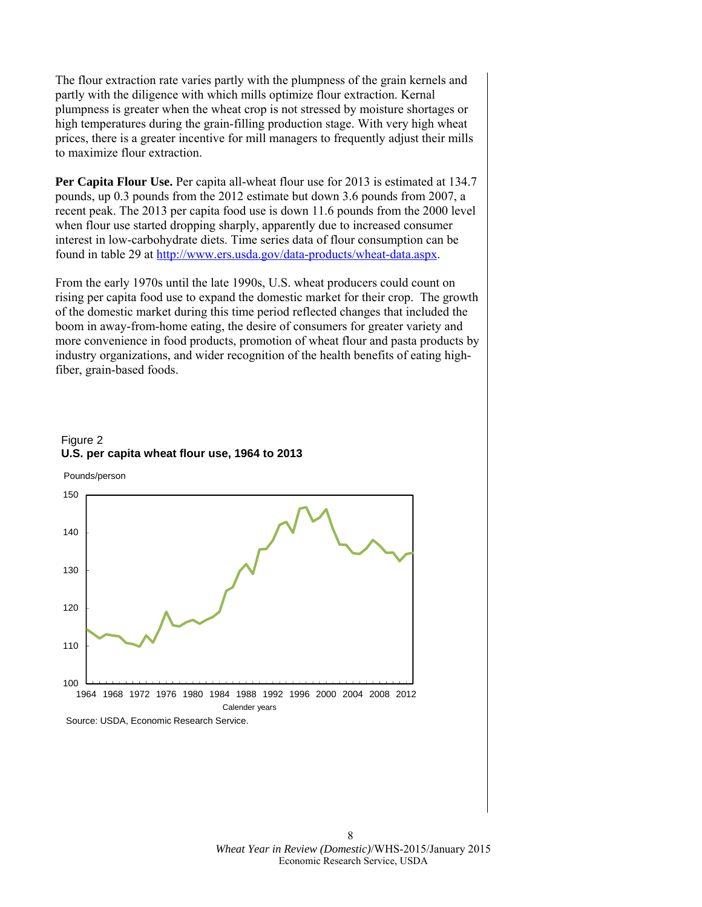The flour extraction rate varies partly with the plumpness of the grain kernels and partly with the diligence with which mills optimize flour extraction. Kernal plumpness is greater when the wheat crop is not stressed by moisture shortages or high temperatures during the grain-filling production stage. With very high wheat prices, there is a greater incentive for mill managers to frequently adjust their mills to maximize flour extraction.

**Per Capita Flour Use.** Per capita all-wheat flour use for 2013 is estimated at 134.7 pounds, up 0.3 pounds from the 2012 estimate but down 3.6 pounds from 2007, a recent peak. The 2013 per capita food use is down 11.6 pounds from the 2000 level when flour use started dropping sharply, apparently due to increased consumer interest in low-carbohydrate diets. Time series data of flour consumption can be found in table 29 at http://www.ers.usda.gov/data-products/wheat-data.aspx.

From the early 1970s until the late 1990s, U.S. wheat producers could count on rising per capita food use to expand the domestic market for their crop. The growth of the domestic market during this time period reflected changes that included the boom in away-from-home eating, the desire of consumers for greater variety and more convenience in food products, promotion of wheat flour and pasta products by industry organizations, and wider recognition of the health benefits of eating highfiber, grain-based foods.

#### Figure 2 **U.S. per capita wheat flour use, 1964 to 2013**

Pounds/person

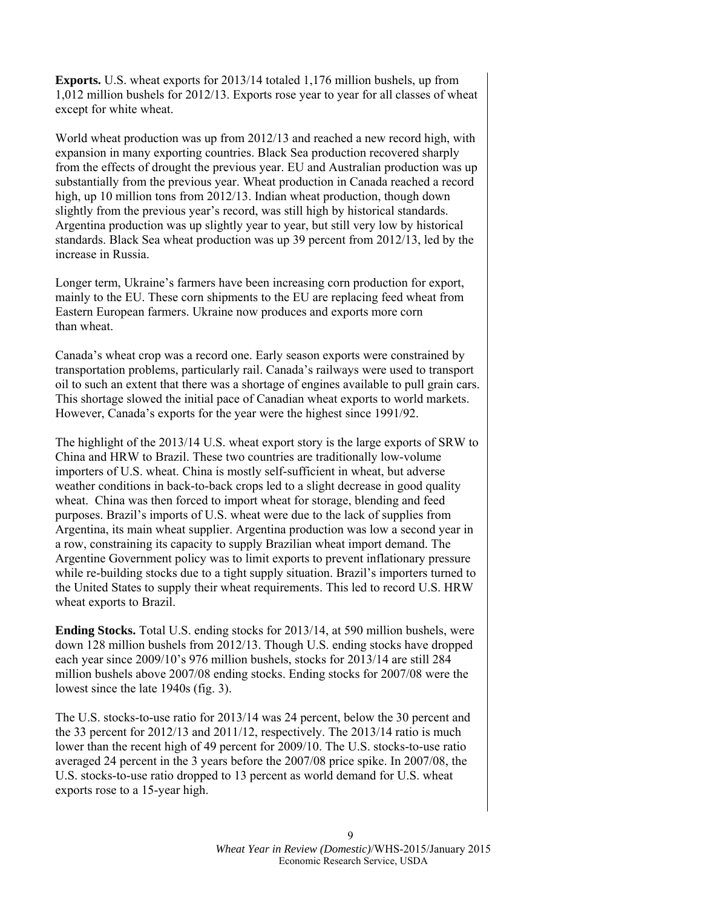**Exports.** U.S. wheat exports for 2013/14 totaled 1,176 million bushels, up from 1,012 million bushels for 2012/13. Exports rose year to year for all classes of wheat except for white wheat.

World wheat production was up from 2012/13 and reached a new record high, with expansion in many exporting countries. Black Sea production recovered sharply from the effects of drought the previous year. EU and Australian production was up substantially from the previous year. Wheat production in Canada reached a record high, up 10 million tons from 2012/13. Indian wheat production, though down slightly from the previous year's record, was still high by historical standards. Argentina production was up slightly year to year, but still very low by historical standards. Black Sea wheat production was up 39 percent from 2012/13, led by the increase in Russia.

Longer term, Ukraine's farmers have been increasing corn production for export, mainly to the EU. These corn shipments to the EU are replacing feed wheat from Eastern European farmers. Ukraine now produces and exports more corn than wheat.

Canada's wheat crop was a record one. Early season exports were constrained by transportation problems, particularly rail. Canada's railways were used to transport oil to such an extent that there was a shortage of engines available to pull grain cars. This shortage slowed the initial pace of Canadian wheat exports to world markets. However, Canada's exports for the year were the highest since 1991/92.

The highlight of the 2013/14 U.S. wheat export story is the large exports of SRW to China and HRW to Brazil. These two countries are traditionally low-volume importers of U.S. wheat. China is mostly self-sufficient in wheat, but adverse weather conditions in back-to-back crops led to a slight decrease in good quality wheat. China was then forced to import wheat for storage, blending and feed purposes. Brazil's imports of U.S. wheat were due to the lack of supplies from Argentina, its main wheat supplier. Argentina production was low a second year in a row, constraining its capacity to supply Brazilian wheat import demand. The Argentine Government policy was to limit exports to prevent inflationary pressure while re-building stocks due to a tight supply situation. Brazil's importers turned to the United States to supply their wheat requirements. This led to record U.S. HRW wheat exports to Brazil.

**Ending Stocks.** Total U.S. ending stocks for 2013/14, at 590 million bushels, were down 128 million bushels from 2012/13. Though U.S. ending stocks have dropped each year since 2009/10's 976 million bushels, stocks for 2013/14 are still 284 million bushels above 2007/08 ending stocks. Ending stocks for 2007/08 were the lowest since the late 1940s (fig. 3).

The U.S. stocks-to-use ratio for 2013/14 was 24 percent, below the 30 percent and the 33 percent for 2012/13 and 2011/12, respectively. The 2013/14 ratio is much lower than the recent high of 49 percent for 2009/10. The U.S. stocks-to-use ratio averaged 24 percent in the 3 years before the 2007/08 price spike. In 2007/08, the U.S. stocks-to-use ratio dropped to 13 percent as world demand for U.S. wheat exports rose to a 15-year high.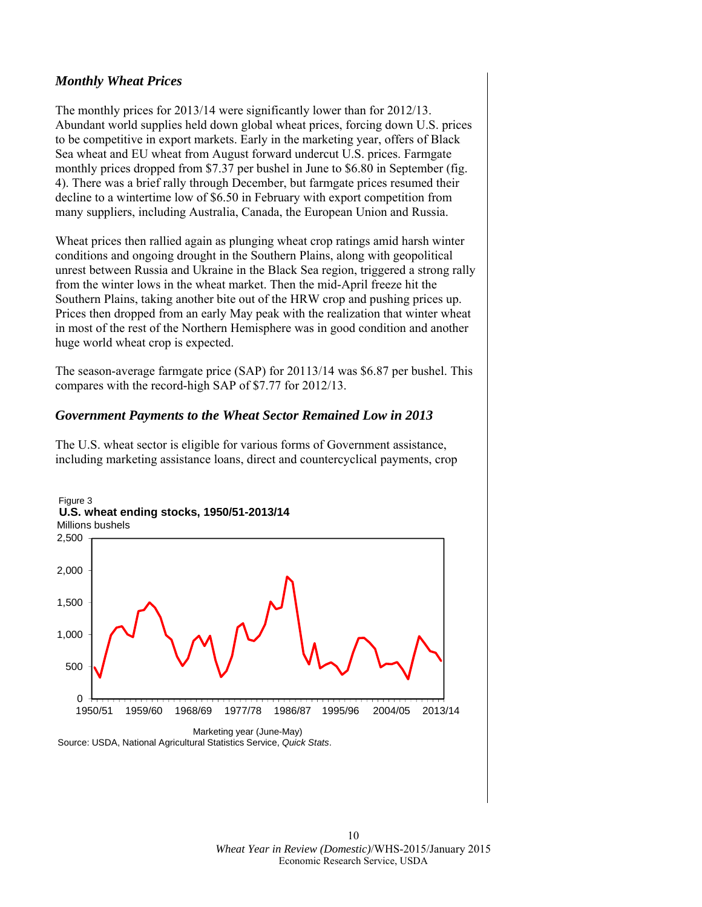#### *Monthly Wheat Prices*

The monthly prices for 2013/14 were significantly lower than for 2012/13. Abundant world supplies held down global wheat prices, forcing down U.S. prices to be competitive in export markets. Early in the marketing year, offers of Black Sea wheat and EU wheat from August forward undercut U.S. prices. Farmgate monthly prices dropped from \$7.37 per bushel in June to \$6.80 in September (fig. 4). There was a brief rally through December, but farmgate prices resumed their decline to a wintertime low of \$6.50 in February with export competition from many suppliers, including Australia, Canada, the European Union and Russia.

Wheat prices then rallied again as plunging wheat crop ratings amid harsh winter conditions and ongoing drought in the Southern Plains, along with geopolitical unrest between Russia and Ukraine in the Black Sea region, triggered a strong rally from the winter lows in the wheat market. Then the mid-April freeze hit the Southern Plains, taking another bite out of the HRW crop and pushing prices up. Prices then dropped from an early May peak with the realization that winter wheat in most of the rest of the Northern Hemisphere was in good condition and another huge world wheat crop is expected.

The season-average farmgate price (SAP) for 20113/14 was \$6.87 per bushel. This compares with the record-high SAP of \$7.77 for 2012/13.

#### *Government Payments to the Wheat Sector Remained Low in 2013*

The U.S. wheat sector is eligible for various forms of Government assistance, including marketing assistance loans, direct and countercyclical payments, crop

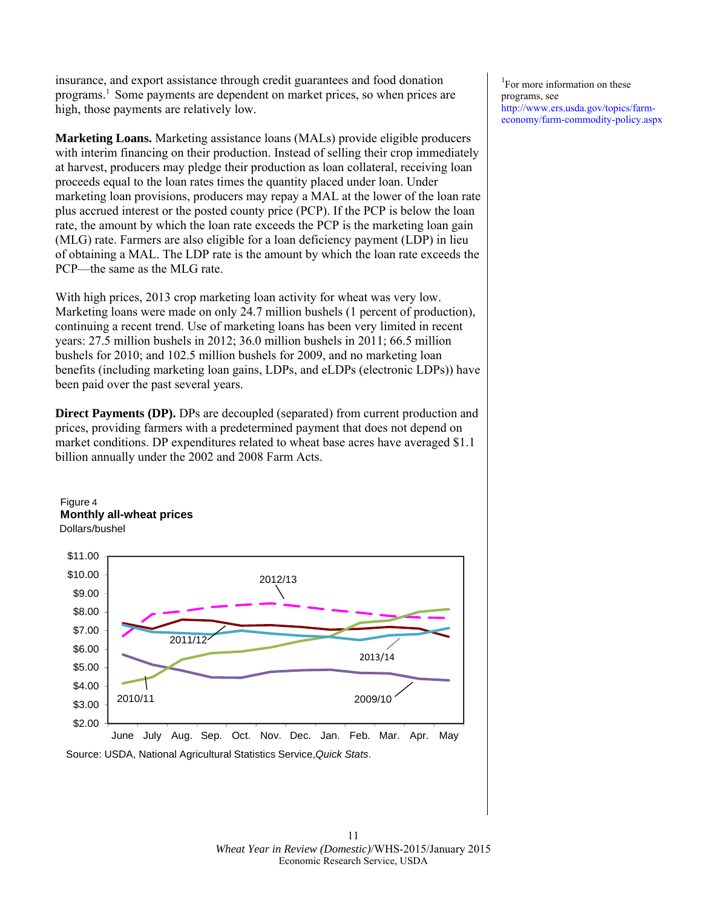insurance, and export assistance through credit guarantees and food donation programs.1 Some payments are dependent on market prices, so when prices are high, those payments are relatively low.

**Marketing Loans.** Marketing assistance loans (MALs) provide eligible producers with interim financing on their production. Instead of selling their crop immediately at harvest, producers may pledge their production as loan collateral, receiving loan proceeds equal to the loan rates times the quantity placed under loan. Under marketing loan provisions, producers may repay a MAL at the lower of the loan rate plus accrued interest or the posted county price (PCP). If the PCP is below the loan rate, the amount by which the loan rate exceeds the PCP is the marketing loan gain (MLG) rate. Farmers are also eligible for a loan deficiency payment (LDP) in lieu of obtaining a MAL. The LDP rate is the amount by which the loan rate exceeds the PCP—the same as the MLG rate.

With high prices, 2013 crop marketing loan activity for wheat was very low. Marketing loans were made on only 24.7 million bushels (1 percent of production), continuing a recent trend. Use of marketing loans has been very limited in recent years: 27.5 million bushels in 2012; 36.0 million bushels in 2011; 66.5 million bushels for 2010; and 102.5 million bushels for 2009, and no marketing loan benefits (including marketing loan gains, LDPs, and eLDPs (electronic LDPs)) have been paid over the past several years.

**Direct Payments (DP).** DPs are decoupled (separated) from current production and prices, providing farmers with a predetermined payment that does not depend on market conditions. DP expenditures related to wheat base acres have averaged \$1.1 billion annually under the 2002 and 2008 Farm Acts.





1 For more information on these programs, see http://www.ers.usda.gov/topics/farmeconomy/farm-commodity-policy.aspx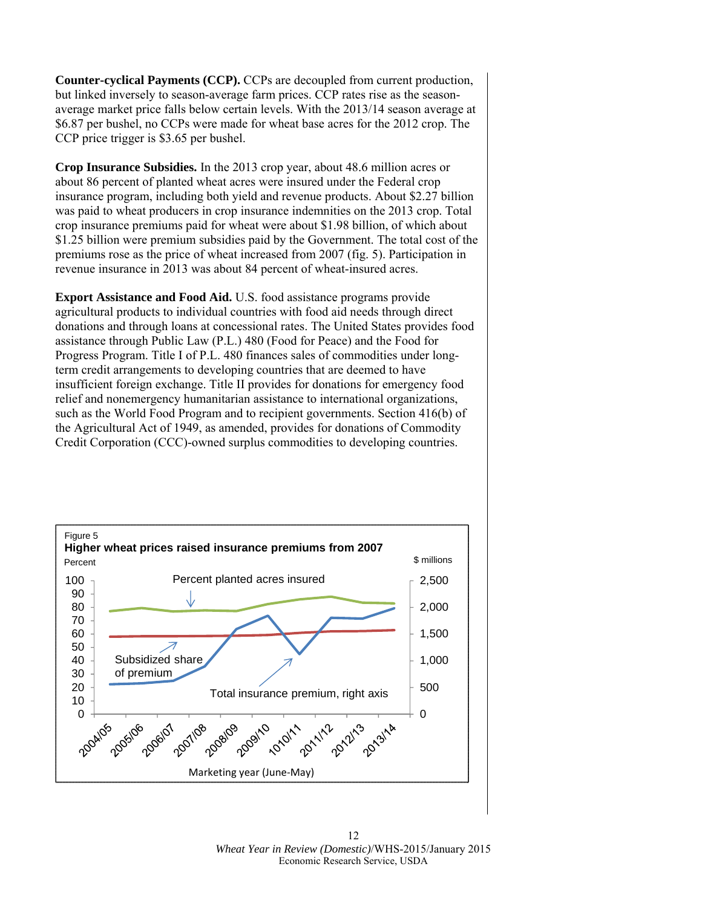**Counter-cyclical Payments (CCP).** CCPs are decoupled from current production, but linked inversely to season-average farm prices. CCP rates rise as the seasonaverage market price falls below certain levels. With the 2013/14 season average at \$6.87 per bushel, no CCPs were made for wheat base acres for the 2012 crop. The CCP price trigger is \$3.65 per bushel.

**Crop Insurance Subsidies.** In the 2013 crop year, about 48.6 million acres or about 86 percent of planted wheat acres were insured under the Federal crop insurance program, including both yield and revenue products. About \$2.27 billion was paid to wheat producers in crop insurance indemnities on the 2013 crop. Total crop insurance premiums paid for wheat were about \$1.98 billion, of which about \$1.25 billion were premium subsidies paid by the Government. The total cost of the premiums rose as the price of wheat increased from 2007 (fig. 5). Participation in revenue insurance in 2013 was about 84 percent of wheat-insured acres.

**Export Assistance and Food Aid.** U.S. food assistance programs provide agricultural products to individual countries with food aid needs through direct donations and through loans at concessional rates. The United States provides food assistance through Public Law (P.L.) 480 (Food for Peace) and the Food for Progress Program. Title I of P.L. 480 finances sales of commodities under longterm credit arrangements to developing countries that are deemed to have insufficient foreign exchange. Title II provides for donations for emergency food relief and nonemergency humanitarian assistance to international organizations, such as the World Food Program and to recipient governments. Section 416(b) of the Agricultural Act of 1949, as amended, provides for donations of Commodity Credit Corporation (CCC)-owned surplus commodities to developing countries.



12 *Wheat Year in Review (Domestic)*/WHS-2015/January 2015 Economic Research Service, USDA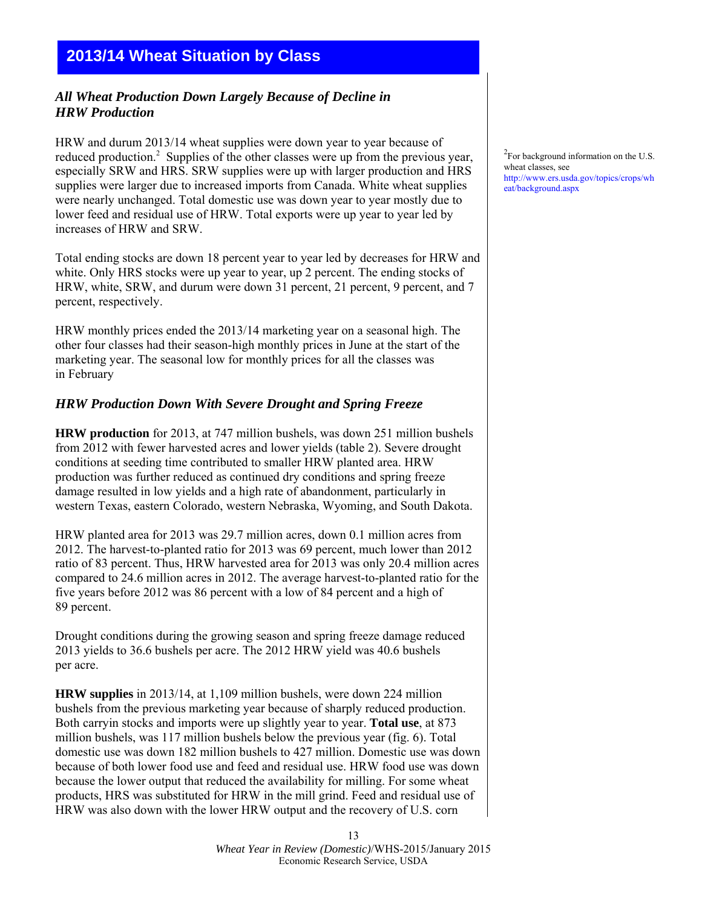# **2013/14 Wheat Situation by Class**

## *All Wheat Production Down Largely Because of Decline in HRW Production*

HRW and durum 2013/14 wheat supplies were down year to year because of reduced production.<sup>2</sup> Supplies of the other classes were up from the previous year, especially SRW and HRS. SRW supplies were up with larger production and HRS supplies were larger due to increased imports from Canada. White wheat supplies were nearly unchanged. Total domestic use was down year to year mostly due to lower feed and residual use of HRW. Total exports were up year to year led by increases of HRW and SRW.

Total ending stocks are down 18 percent year to year led by decreases for HRW and white. Only HRS stocks were up year to year, up 2 percent. The ending stocks of HRW, white, SRW, and durum were down 31 percent, 21 percent, 9 percent, and 7 percent, respectively.

HRW monthly prices ended the 2013/14 marketing year on a seasonal high. The other four classes had their season-high monthly prices in June at the start of the marketing year. The seasonal low for monthly prices for all the classes was in February

#### *HRW Production Down With Severe Drought and Spring Freeze*

**HRW production** for 2013, at 747 million bushels, was down 251 million bushels from 2012 with fewer harvested acres and lower yields (table 2). Severe drought conditions at seeding time contributed to smaller HRW planted area. HRW production was further reduced as continued dry conditions and spring freeze damage resulted in low yields and a high rate of abandonment, particularly in western Texas, eastern Colorado, western Nebraska, Wyoming, and South Dakota.

HRW planted area for 2013 was 29.7 million acres, down 0.1 million acres from 2012. The harvest-to-planted ratio for 2013 was 69 percent, much lower than 2012 ratio of 83 percent. Thus, HRW harvested area for 2013 was only 20.4 million acres compared to 24.6 million acres in 2012. The average harvest-to-planted ratio for the five years before 2012 was 86 percent with a low of 84 percent and a high of 89 percent.

Drought conditions during the growing season and spring freeze damage reduced 2013 yields to 36.6 bushels per acre. The 2012 HRW yield was 40.6 bushels per acre.

**HRW supplies** in 2013/14, at 1,109 million bushels, were down 224 million bushels from the previous marketing year because of sharply reduced production. Both carryin stocks and imports were up slightly year to year. **Total use**, at 873 million bushels, was 117 million bushels below the previous year (fig. 6). Total domestic use was down 182 million bushels to 427 million. Domestic use was down because of both lower food use and feed and residual use. HRW food use was down because the lower output that reduced the availability for milling. For some wheat products, HRS was substituted for HRW in the mill grind. Feed and residual use of HRW was also down with the lower HRW output and the recovery of U.S. corn

<sup>2</sup>For background information on the U.S. wheat classes, see http://www.ers.usda.gov/topics/crops/wh eat/background.aspx

13 *Wheat Year in Review (Domestic)*/WHS-2015/January 2015 Economic Research Service, USDA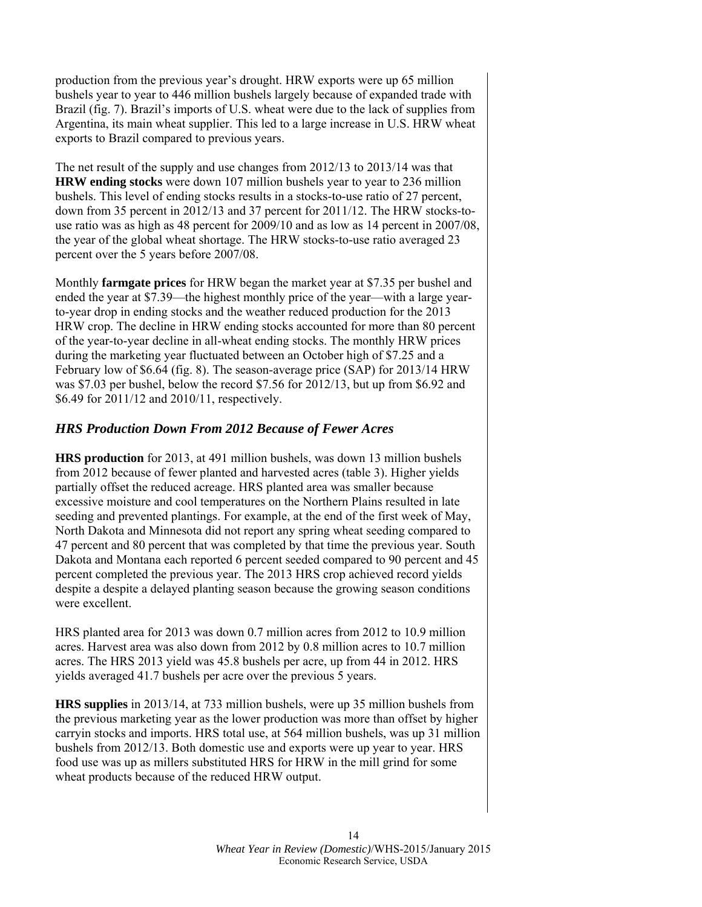production from the previous year's drought. HRW exports were up 65 million bushels year to year to 446 million bushels largely because of expanded trade with Brazil (fig. 7). Brazil's imports of U.S. wheat were due to the lack of supplies from Argentina, its main wheat supplier. This led to a large increase in U.S. HRW wheat exports to Brazil compared to previous years.

The net result of the supply and use changes from 2012/13 to 2013/14 was that **HRW ending stocks** were down 107 million bushels year to year to 236 million bushels. This level of ending stocks results in a stocks-to-use ratio of 27 percent, down from 35 percent in 2012/13 and 37 percent for 2011/12. The HRW stocks-touse ratio was as high as 48 percent for 2009/10 and as low as 14 percent in 2007/08, the year of the global wheat shortage. The HRW stocks-to-use ratio averaged 23 percent over the 5 years before 2007/08.

Monthly **farmgate prices** for HRW began the market year at \$7.35 per bushel and ended the year at \$7.39—the highest monthly price of the year—with a large yearto-year drop in ending stocks and the weather reduced production for the 2013 HRW crop. The decline in HRW ending stocks accounted for more than 80 percent of the year-to-year decline in all-wheat ending stocks. The monthly HRW prices during the marketing year fluctuated between an October high of \$7.25 and a February low of \$6.64 (fig. 8). The season-average price (SAP) for 2013/14 HRW was \$7.03 per bushel, below the record \$7.56 for 2012/13, but up from \$6.92 and \$6.49 for 2011/12 and 2010/11, respectively.

## *HRS Production Down From 2012 Because of Fewer Acres*

**HRS production** for 2013, at 491 million bushels, was down 13 million bushels from 2012 because of fewer planted and harvested acres (table 3). Higher yields partially offset the reduced acreage. HRS planted area was smaller because excessive moisture and cool temperatures on the Northern Plains resulted in late seeding and prevented plantings. For example, at the end of the first week of May, North Dakota and Minnesota did not report any spring wheat seeding compared to 47 percent and 80 percent that was completed by that time the previous year. South Dakota and Montana each reported 6 percent seeded compared to 90 percent and 45 percent completed the previous year. The 2013 HRS crop achieved record yields despite a despite a delayed planting season because the growing season conditions were excellent.

HRS planted area for 2013 was down 0.7 million acres from 2012 to 10.9 million acres. Harvest area was also down from 2012 by 0.8 million acres to 10.7 million acres. The HRS 2013 yield was 45.8 bushels per acre, up from 44 in 2012. HRS yields averaged 41.7 bushels per acre over the previous 5 years.

**HRS supplies** in 2013/14, at 733 million bushels, were up 35 million bushels from the previous marketing year as the lower production was more than offset by higher carryin stocks and imports. HRS total use, at 564 million bushels, was up 31 million bushels from 2012/13. Both domestic use and exports were up year to year. HRS food use was up as millers substituted HRS for HRW in the mill grind for some wheat products because of the reduced HRW output.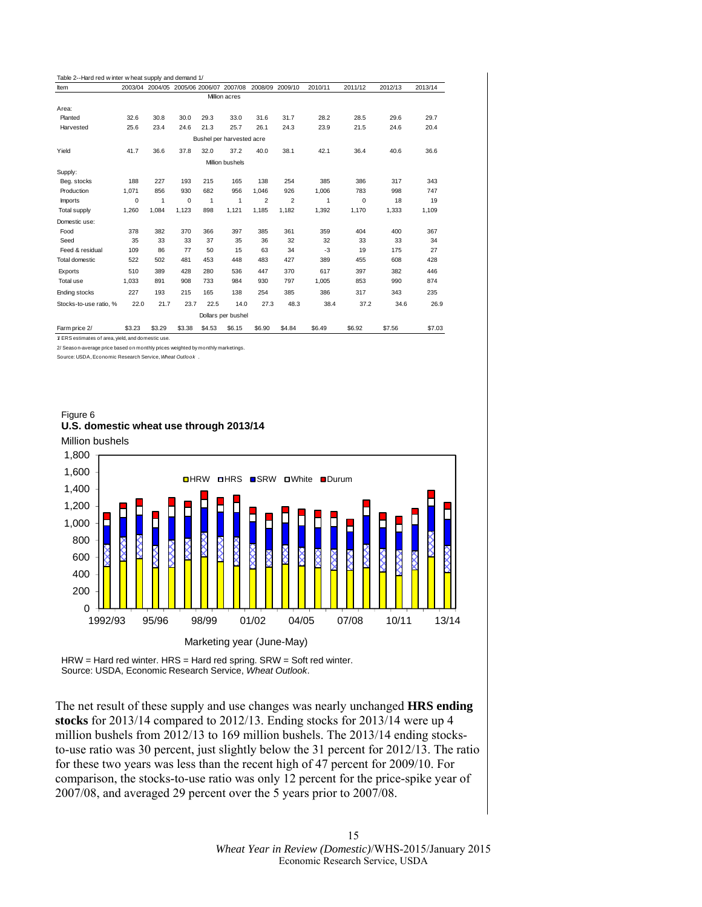| Table 2--Hard red w inter w heat supply and demand 1/ |        |              |                                         |        |                           |                 |        |         |         |         |         |
|-------------------------------------------------------|--------|--------------|-----------------------------------------|--------|---------------------------|-----------------|--------|---------|---------|---------|---------|
| Item                                                  |        |              | 2003/04 2004/05 2005/06 2006/07 2007/08 |        |                           | 2008/09 2009/10 |        | 2010/11 | 2011/12 | 2012/13 | 2013/14 |
|                                                       |        |              |                                         |        | Million acres             |                 |        |         |         |         |         |
| Area:                                                 |        |              |                                         |        |                           |                 |        |         |         |         |         |
| Planted                                               | 32.6   | 30.8         | 30.0                                    | 29.3   | 33.0                      | 31.6            | 31.7   | 28.2    | 28.5    | 29.6    | 29.7    |
| Harvested                                             | 25.6   | 23.4         | 24.6                                    | 21.3   | 25.7                      | 26.1            | 24.3   | 23.9    | 21.5    | 24.6    | 20.4    |
|                                                       |        |              |                                         |        | Bushel per harvested acre |                 |        |         |         |         |         |
| Yield                                                 | 41.7   | 36.6         | 37.8                                    | 32.0   | 37.2                      | 40.0            | 38.1   | 42.1    | 36.4    | 40.6    | 36.6    |
|                                                       |        |              |                                         |        | Million bushels           |                 |        |         |         |         |         |
| Supply:                                               |        |              |                                         |        |                           |                 |        |         |         |         |         |
| Beg. stocks                                           | 188    | 227          | 193                                     | 215    | 165                       | 138             | 254    | 385     | 386     | 317     | 343     |
| Production                                            | 1.071  | 856          | 930                                     | 682    | 956                       | 1.046           | 926    | 1.006   | 783     | 998     | 747     |
| Imports                                               | 0      | $\mathbf{1}$ | 0                                       | 1      | 1                         | $\overline{2}$  | 2      | 1       | 0       | 18      | 19      |
| Total supply                                          | 1,260  | 1.084        | 1.123                                   | 898    | 1.121                     | 1.185           | 1.182  | 1.392   | 1,170   | 1,333   | 1,109   |
| Domestic use:                                         |        |              |                                         |        |                           |                 |        |         |         |         |         |
| Food                                                  | 378    | 382          | 370                                     | 366    | 397                       | 385             | 361    | 359     | 404     | 400     | 367     |
| Seed                                                  | 35     | 33           | 33                                      | 37     | 35                        | 36              | 32     | 32      | 33      | 33      | 34      |
| Feed & residual                                       | 109    | 86           | 77                                      | 50     | 15                        | 63              | 34     | -3      | 19      | 175     | 27      |
| <b>Total domestic</b>                                 | 522    | 502          | 481                                     | 453    | 448                       | 483             | 427    | 389     | 455     | 608     | 428     |
| Exports                                               | 510    | 389          | 428                                     | 280    | 536                       | 447             | 370    | 617     | 397     | 382     | 446     |
| Total use                                             | 1.033  | 891          | 908                                     | 733    | 984                       | 930             | 797    | 1.005   | 853     | 990     | 874     |
| Ending stocks                                         | 227    | 193          | 215                                     | 165    | 138                       | 254             | 385    | 386     | 317     | 343     | 235     |
| Stocks-to-use ratio, %                                | 22.0   | 21.7         | 23.7                                    | 22.5   | 14.0                      | 27.3            | 48.3   | 38.4    | 37.2    | 34.6    | 26.9    |
|                                                       |        |              |                                         |        | Dollars per bushel        |                 |        |         |         |         |         |
| Farm price 2/                                         | \$3.23 | \$3.29       | \$3.38                                  | \$4.53 | \$6.15                    | \$6.90          | \$4.84 | \$6.49  | \$6.92  | \$7.56  | \$7.03  |
| 1/ ERS estimates of area, vield, and domestic use.    |        |              |                                         |        |                           |                 |        |         |         |         |         |

2/ Season-average price based on monthly prices weighted by monthly marketings. Source: USDA, Economic Research Service, *Wheat Outlook* .

Figure 6 **U.S. domestic wheat use through 2013/14**





HRW = Hard red winter. HRS = Hard red spring. SRW = Soft red winter. Source: USDA, Economic Research Service, *Wheat Outlook*.

The net result of these supply and use changes was nearly unchanged **HRS ending stocks** for 2013/14 compared to 2012/13. Ending stocks for 2013/14 were up 4 million bushels from 2012/13 to 169 million bushels. The 2013/14 ending stocksto-use ratio was 30 percent, just slightly below the 31 percent for 2012/13. The ratio for these two years was less than the recent high of 47 percent for 2009/10. For comparison, the stocks-to-use ratio was only 12 percent for the price-spike year of 2007/08, and averaged 29 percent over the 5 years prior to 2007/08.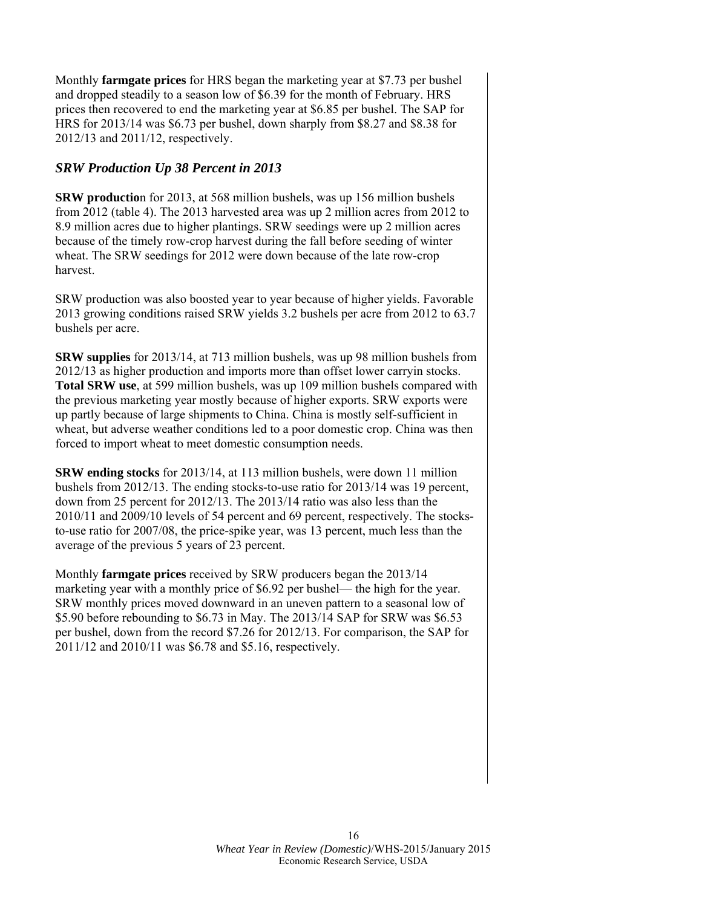Monthly **farmgate prices** for HRS began the marketing year at \$7.73 per bushel and dropped steadily to a season low of \$6.39 for the month of February. HRS prices then recovered to end the marketing year at \$6.85 per bushel. The SAP for HRS for 2013/14 was \$6.73 per bushel, down sharply from \$8.27 and \$8.38 for 2012/13 and 2011/12, respectively.

## *SRW Production Up 38 Percent in 2013*

**SRW productio**n for 2013, at 568 million bushels, was up 156 million bushels from 2012 (table 4). The 2013 harvested area was up 2 million acres from 2012 to 8.9 million acres due to higher plantings. SRW seedings were up 2 million acres because of the timely row-crop harvest during the fall before seeding of winter wheat. The SRW seedings for 2012 were down because of the late row-crop harvest.

SRW production was also boosted year to year because of higher yields. Favorable 2013 growing conditions raised SRW yields 3.2 bushels per acre from 2012 to 63.7 bushels per acre.

**SRW supplies** for 2013/14, at 713 million bushels, was up 98 million bushels from 2012/13 as higher production and imports more than offset lower carryin stocks. **Total SRW use**, at 599 million bushels, was up 109 million bushels compared with the previous marketing year mostly because of higher exports. SRW exports were up partly because of large shipments to China. China is mostly self-sufficient in wheat, but adverse weather conditions led to a poor domestic crop. China was then forced to import wheat to meet domestic consumption needs.

**SRW ending stocks** for 2013/14, at 113 million bushels, were down 11 million bushels from 2012/13. The ending stocks-to-use ratio for 2013/14 was 19 percent, down from 25 percent for 2012/13. The 2013/14 ratio was also less than the 2010/11 and 2009/10 levels of 54 percent and 69 percent, respectively. The stocksto-use ratio for 2007/08, the price-spike year, was 13 percent, much less than the average of the previous 5 years of 23 percent.

Monthly **farmgate prices** received by SRW producers began the 2013/14 marketing year with a monthly price of \$6.92 per bushel— the high for the year. SRW monthly prices moved downward in an uneven pattern to a seasonal low of \$5.90 before rebounding to \$6.73 in May. The 2013/14 SAP for SRW was \$6.53 per bushel, down from the record \$7.26 for 2012/13. For comparison, the SAP for 2011/12 and 2010/11 was \$6.78 and \$5.16, respectively.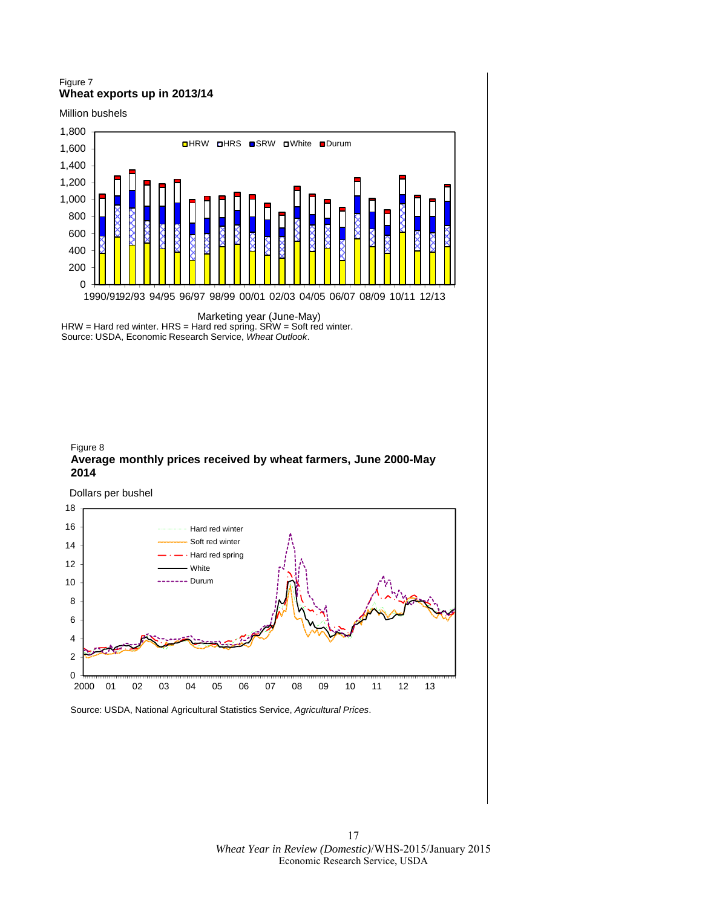#### Figure 7 **Wheat exports up in 2013/14**

Million bushels



Marketing year (June-May) HRW = Hard red winter. HRS = Hard red spring. SRW = Soft red winter. Source: USDA, Economic Research Service, *Wheat Outlook*.



Dollars per bushel

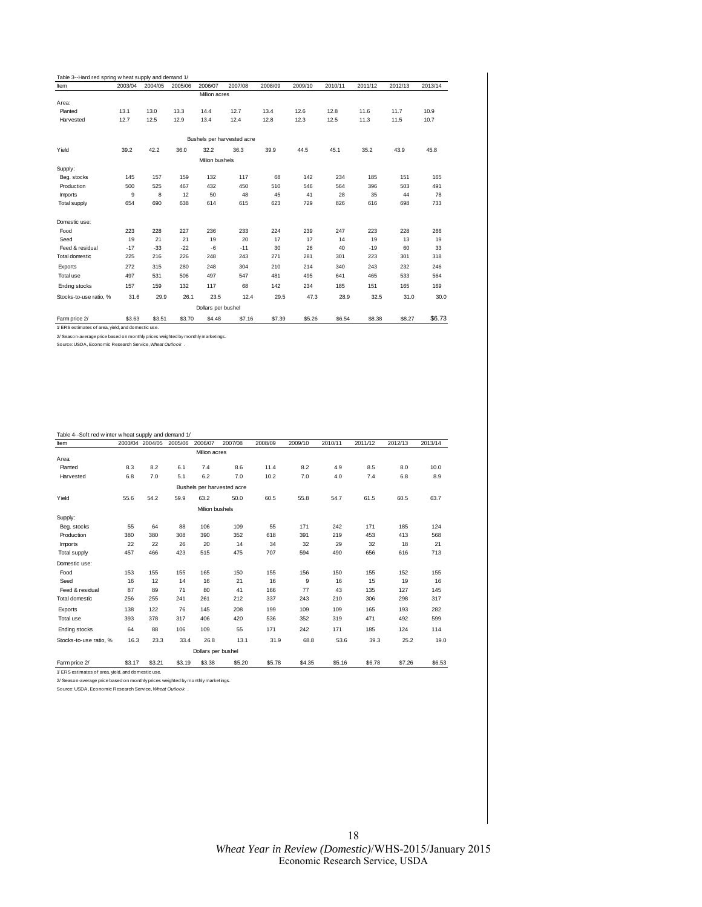| <b>Item</b>            | 2003/04 | 2004/05 | 2005/06 | 2006/07            | 2007/08                    | 2008/09 | 2009/10 | 2010/11 | 2011/12 | 2012/13 | 2013/14 |
|------------------------|---------|---------|---------|--------------------|----------------------------|---------|---------|---------|---------|---------|---------|
|                        |         |         |         | Million acres      |                            |         |         |         |         |         |         |
| Area:                  |         |         |         |                    |                            |         |         |         |         |         |         |
| Planted                | 13.1    | 13.0    | 13.3    | 14.4               | 12.7                       | 13.4    | 12.6    | 12.8    | 11.6    | 11.7    | 10.9    |
| Harvested              | 12.7    | 12.5    | 12.9    | 13.4               | 12.4                       | 12.8    | 12.3    | 12.5    | 11.3    | 11.5    | 10.7    |
|                        |         |         |         |                    | Bushels per harvested acre |         |         |         |         |         |         |
| Yield                  | 39.2    | 42.2    | 36.0    | 32.2               | 36.3                       | 39.9    | 44.5    | 45.1    | 35.2    | 43.9    | 45.8    |
|                        |         |         |         | Million bushels    |                            |         |         |         |         |         |         |
| Supply:                |         |         |         |                    |                            |         |         |         |         |         |         |
| Beg. stocks            | 145     | 157     | 159     | 132                | 117                        | 68      | 142     | 234     | 185     | 151     | 165     |
| Production             | 500     | 525     | 467     | 432                | 450                        | 510     | 546     | 564     | 396     | 503     | 491     |
| Imports                | 9       | 8       | 12      | 50                 | 48                         | 45      | 41      | 28      | 35      | 44      | 78      |
| Total supply           | 654     | 690     | 638     | 614                | 615                        | 623     | 729     | 826     | 616     | 698     | 733     |
| Domestic use:          |         |         |         |                    |                            |         |         |         |         |         |         |
| Food                   | 223     | 228     | 227     | 236                | 233                        | 224     | 239     | 247     | 223     | 228     | 266     |
| Seed                   | 19      | 21      | 21      | 19                 | 20                         | 17      | 17      | 14      | 19      | 13      | 19      |
| Feed & residual        | $-17$   | $-33$   | $-22$   | $-6$               | $-11$                      | 30      | 26      | 40      | $-19$   | 60      | 33      |
| <b>Total domestic</b>  | 225     | 216     | 226     | 248                | 243                        | 271     | 281     | 301     | 223     | 301     | 318     |
| Exports                | 272     | 315     | 280     | 248                | 304                        | 210     | 214     | 340     | 243     | 232     | 246     |
| Total use              | 497     | 531     | 506     | 497                | 547                        | 481     | 495     | 641     | 465     | 533     | 564     |
| Ending stocks          | 157     | 159     | 132     | 117                | 68                         | 142     | 234     | 185     | 151     | 165     | 169     |
| Stocks-to-use ratio, % | 31.6    | 29.9    | 26.1    | 23.5               | 12.4                       | 29.5    | 47.3    | 28.9    | 32.5    | 31.0    | 30.0    |
|                        |         |         |         | Dollars per bushel |                            |         |         |         |         |         |         |
| Farm price 2/          | \$3.63  | \$3.51  | \$3.70  | \$4.48             | \$7.16                     | \$7.39  | \$5.26  | \$6.54  | \$8.38  | \$8.27  | \$6.73  |

1/ ERS estimates of area, yield, and domestic use.<br>2/ Season-average price based on monthly prices weighted by monthly marketings.<br>Source: USDA, Economic Research Service, *Wheat Outlook .* 

| Item                   |        |        | 2003/04 2004/05 2005/06 | 2006/07            | 2007/08                    | 2008/09 | 2009/10 | 2010/11 | 2011/12 | 2012/13 | 2013/14 |
|------------------------|--------|--------|-------------------------|--------------------|----------------------------|---------|---------|---------|---------|---------|---------|
|                        |        |        |                         | Million acres      |                            |         |         |         |         |         |         |
| Area:                  |        |        |                         |                    |                            |         |         |         |         |         |         |
| Planted                | 8.3    | 8.2    | 6.1                     | 7.4                | 8.6                        | 11.4    | 8.2     | 4.9     | 8.5     | 8.0     | 10.0    |
| Harvested              | 6.8    | 7.0    | 5.1                     | 6.2                | 7.0                        | 10.2    | 7.0     | 4.0     | 7.4     | 6.8     | 8.9     |
|                        |        |        |                         |                    | Bushels per harvested acre |         |         |         |         |         |         |
| Yield                  | 55.6   | 54.2   | 59.9                    | 63.2               | 50.0                       | 60.5    | 55.8    | 54.7    | 61.5    | 60.5    | 63.7    |
|                        |        |        |                         | Million bushels    |                            |         |         |         |         |         |         |
| Supply:                |        |        |                         |                    |                            |         |         |         |         |         |         |
| Beg. stocks            | 55     | 64     | 88                      | 106                | 109                        | 55      | 171     | 242     | 171     | 185     | 124     |
| Production             | 380    | 380    | 308                     | 390                | 352                        | 618     | 391     | 219     | 453     | 413     | 568     |
| Imports                | 22     | 22     | 26                      | 20                 | 14                         | 34      | 32      | 29      | 32      | 18      | 21      |
| <b>Total supply</b>    | 457    | 466    | 423                     | 515                | 475                        | 707     | 594     | 490     | 656     | 616     | 713     |
| Domestic use:          |        |        |                         |                    |                            |         |         |         |         |         |         |
| Food                   | 153    | 155    | 155                     | 165                | 150                        | 155     | 156     | 150     | 155     | 152     | 155     |
| Seed                   | 16     | 12     | 14                      | 16                 | 21                         | 16      | 9       | 16      | 15      | 19      | 16      |
| Feed & residual        | 87     | 89     | 71                      | 80                 | 41                         | 166     | 77      | 43      | 135     | 127     | 145     |
| Total domestic         | 256    | 255    | 241                     | 261                | 212                        | 337     | 243     | 210     | 306     | 298     | 317     |
| Exports                | 138    | 122    | 76                      | 145                | 208                        | 199     | 109     | 109     | 165     | 193     | 282     |
| Total use              | 393    | 378    | 317                     | 406                | 420                        | 536     | 352     | 319     | 471     | 492     | 599     |
| Ending stocks          | 64     | 88     | 106                     | 109                | 55                         | 171     | 242     | 171     | 185     | 124     | 114     |
| Stocks-to-use ratio, % | 16.3   | 23.3   | 33.4                    | 26.8               | 13.1                       | 31.9    | 68.8    | 53.6    | 39.3    | 25.2    | 19.0    |
|                        |        |        |                         | Dollars per bushel |                            |         |         |         |         |         |         |
| Farm price 2/          | \$3.17 | \$3.21 | \$3.19                  | \$3.38             | \$5.20                     | \$5.78  | \$4.35  | \$5.16  | \$6.78  | \$7.26  | \$6.53  |

2/ Season-average price based on monthly prices weighted by monthly marketings. Source: USDA, Economic Research Service, *Wheat Outlook* .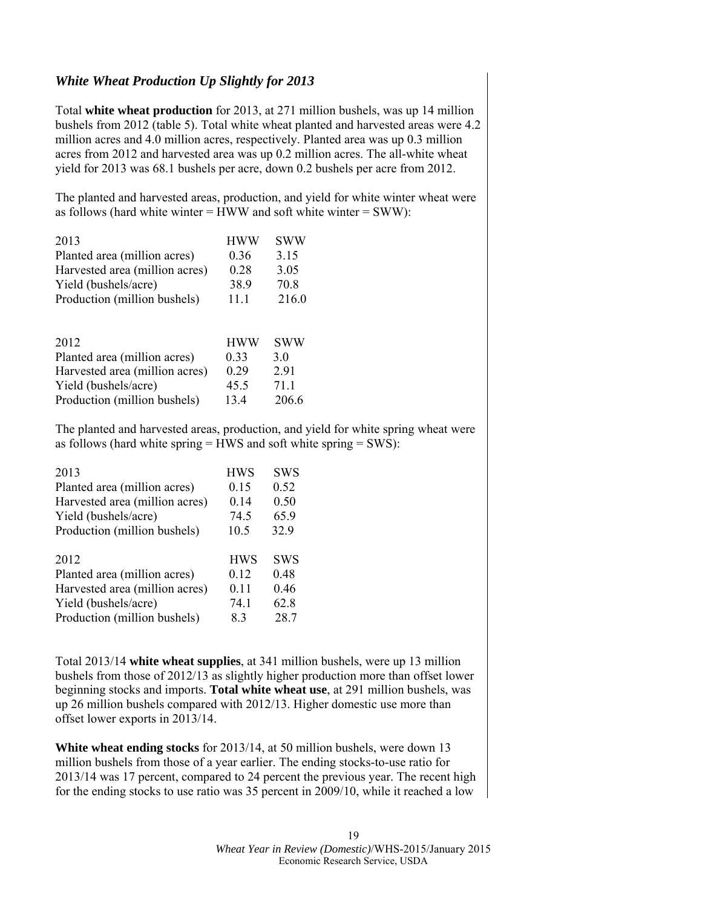# *White Wheat Production Up Slightly for 2013*

Total **white wheat production** for 2013, at 271 million bushels, was up 14 million bushels from 2012 (table 5). Total white wheat planted and harvested areas were 4.2 million acres and 4.0 million acres, respectively. Planted area was up 0.3 million acres from 2012 and harvested area was up 0.2 million acres. The all-white wheat yield for 2013 was 68.1 bushels per acre, down 0.2 bushels per acre from 2012.

The planted and harvested areas, production, and yield for white winter wheat were as follows (hard white winter  $=$  HWW and soft white winter  $=$  SWW):

| 2013                           | <b>HWW</b> | <b>SWW</b> |
|--------------------------------|------------|------------|
| Planted area (million acres)   | 0.36       | 3.15       |
| Harvested area (million acres) | 0.28       | 3.05       |
| Yield (bushels/acre)           | 38.9       | 70.8       |
| Production (million bushels)   | 11.1       | 216.0      |
| 2012                           | <b>HWW</b> | <b>SWW</b> |
| Planted area (million acres)   | 0.33       | 30         |
| Harvested area (million acres) | 0.29       | 2.91       |
| Yield (bushels/acre)           | 45.5       | 71.1       |
| Production (million bushels)   | 13.4       | 206.6      |

The planted and harvested areas, production, and yield for white spring wheat were as follows (hard white spring = HWS and soft white spring = SWS):

| <b>HWS</b> | <b>SWS</b> |
|------------|------------|
| 0.15       | 0.52       |
| 0.14       | 0.50       |
| 74.5       | 65.9       |
| 10.5       | 32.9       |
|            |            |
|            |            |
| <b>HWS</b> | <b>SWS</b> |
| 0.12       | 0.48       |
| 0.11       | 0.46       |
| 74.1       | 62.8       |
|            |            |

Total 2013/14 **white wheat supplies**, at 341 million bushels, were up 13 million bushels from those of 2012/13 as slightly higher production more than offset lower beginning stocks and imports. **Total white wheat use**, at 291 million bushels, was up 26 million bushels compared with 2012/13. Higher domestic use more than offset lower exports in 2013/14.

**White wheat ending stocks** for 2013/14, at 50 million bushels, were down 13 million bushels from those of a year earlier. The ending stocks-to-use ratio for 2013/14 was 17 percent, compared to 24 percent the previous year. The recent high for the ending stocks to use ratio was 35 percent in 2009/10, while it reached a low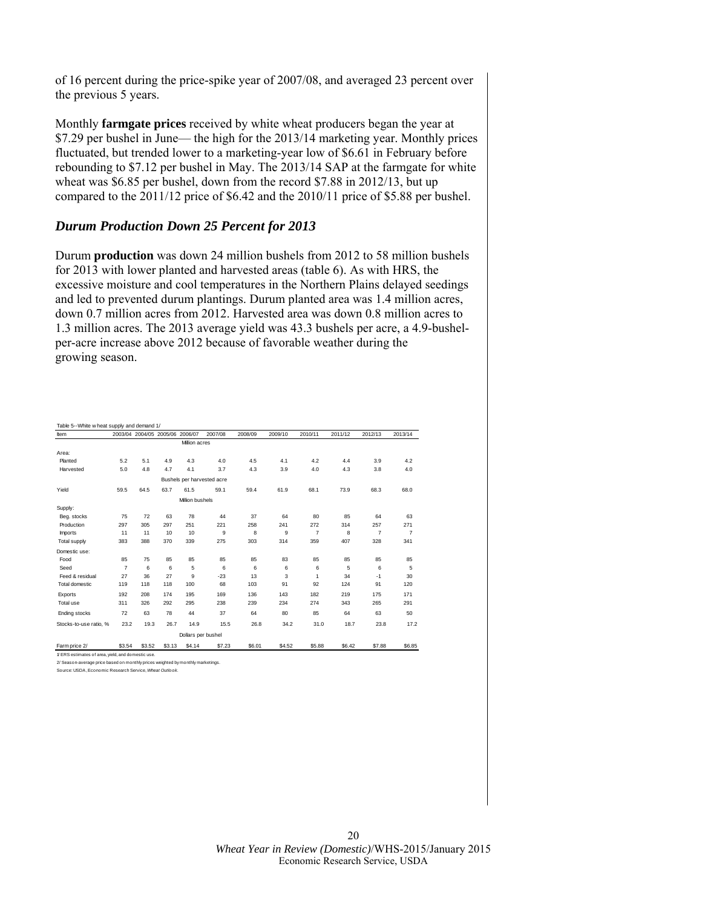of 16 percent during the price-spike year of 2007/08, and averaged 23 percent over the previous 5 years.

Monthly **farmgate prices** received by white wheat producers began the year at \$7.29 per bushel in June— the high for the 2013/14 marketing year. Monthly prices fluctuated, but trended lower to a marketing-year low of \$6.61 in February before rebounding to \$7.12 per bushel in May. The 2013/14 SAP at the farmgate for white wheat was \$6.85 per bushel, down from the record \$7.88 in 2012/13, but up compared to the 2011/12 price of \$6.42 and the 2010/11 price of \$5.88 per bushel.

#### *Durum Production Down 25 Percent for 2013*

Durum **production** was down 24 million bushels from 2012 to 58 million bushels for 2013 with lower planted and harvested areas (table 6). As with HRS, the excessive moisture and cool temperatures in the Northern Plains delayed seedings and led to prevented durum plantings. Durum planted area was 1.4 million acres, down 0.7 million acres from 2012. Harvested area was down 0.8 million acres to 1.3 million acres. The 2013 average yield was 43.3 bushels per acre, a 4.9-bushelper-acre increase above 2012 because of favorable weather during the growing season.

| Table 5--White w heat supply and demand 1/         |                |                                 |        |                    |                            |         |         |                |         |                |                |
|----------------------------------------------------|----------------|---------------------------------|--------|--------------------|----------------------------|---------|---------|----------------|---------|----------------|----------------|
| Item                                               |                | 2003/04 2004/05 2005/06 2006/07 |        |                    | 2007/08                    | 2008/09 | 2009/10 | 2010/11        | 2011/12 | 2012/13        | 2013/14        |
|                                                    |                |                                 |        | Million acres      |                            |         |         |                |         |                |                |
| Area:                                              |                |                                 |        |                    |                            |         |         |                |         |                |                |
| Planted                                            | 5.2            | 5.1                             | 4.9    | 4.3                | 4.0                        | 4.5     | 4.1     | 4.2            | 4.4     | 3.9            | 4.2            |
| Harvested                                          | 5.0            | 4.8                             | 4.7    | 4.1                | 3.7                        | 4.3     | 3.9     | 4.0            | 4.3     | 3.8            | 4.0            |
|                                                    |                |                                 |        |                    | Bushels per harvested acre |         |         |                |         |                |                |
| Yield                                              | 59.5           | 64.5                            | 63.7   | 61.5               | 59.1                       | 59.4    | 61.9    | 68.1           | 73.9    | 68.3           | 68.0           |
|                                                    |                |                                 |        | Million bushels    |                            |         |         |                |         |                |                |
| Supply:                                            |                |                                 |        |                    |                            |         |         |                |         |                |                |
| Beg. stocks                                        | 75             | 72                              | 63     | 78                 | 44                         | 37      | 64      | 80             | 85      | 64             | 63             |
| Production                                         | 297            | 305                             | 297    | 251                | 221                        | 258     | 241     | 272            | 314     | 257            | 271            |
| Imports                                            | 11             | 11                              | 10     | 10                 | 9                          | 8       | 9       | $\overline{7}$ | 8       | $\overline{7}$ | $\overline{7}$ |
| Total supply                                       | 383            | 388                             | 370    | 339                | 275                        | 303     | 314     | 359            | 407     | 328            | 341            |
| Domestic use:                                      |                |                                 |        |                    |                            |         |         |                |         |                |                |
| Food                                               | 85             | 75                              | 85     | 85                 | 85                         | 85      | 83      | 85             | 85      | 85             | 85             |
| Seed                                               | $\overline{7}$ | 6                               | 6      | 5                  | 6                          | 6       | 6       | 6              | 5       | 6              | 5              |
| Feed & residual                                    | 27             | 36                              | 27     | 9                  | $-23$                      | 13      | 3       | 1              | 34      | $-1$           | 30             |
| Total domestic                                     | 119            | 118                             | 118    | 100                | 68                         | 103     | 91      | 92             | 124     | 91             | 120            |
| Exports                                            | 192            | 208                             | 174    | 195                | 169                        | 136     | 143     | 182            | 219     | 175            | 171            |
| Total use                                          | 311            | 326                             | 292    | 295                | 238                        | 239     | 234     | 274            | 343     | 265            | 291            |
| Ending stocks                                      | 72             | 63                              | 78     | 44                 | 37                         | 64      | 80      | 85             | 64      | 63             | 50             |
| Stocks-to-use ratio, %                             | 23.2           | 19.3                            | 26.7   | 14.9               | 15.5                       | 26.8    | 34.2    | 31.0           | 18.7    | 23.8           | 17.2           |
|                                                    |                |                                 |        | Dollars per bushel |                            |         |         |                |         |                |                |
| Farm price 2/                                      | \$3.54         | \$3.52                          | \$3.13 | \$4.14             | \$7.23                     | \$6.01  | \$4.52  | \$5.88         | \$6.42  | \$7.88         | \$6.85         |
| 1/ FRS estimates of area, vield, and domestic use. |                |                                 |        |                    |                            |         |         |                |         |                |                |

2/ Season-average price based on monthly prices weighted by monthly marketings.

Source: USDA, Economic Research Service, *Wheat Outlook.*